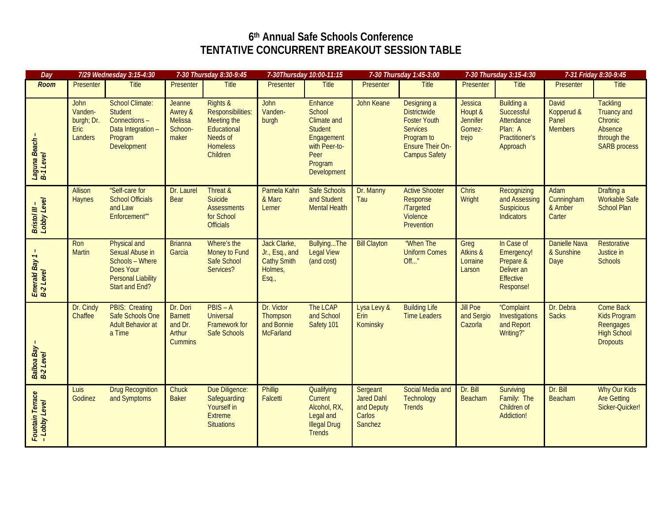## **6th Annual Safe Schools Conference TENTATIVE CONCURRENT BREAKOUT SESSION TABLE**

| Day                               | 7/29 Wednesday 3:15-4:30                                       |                                                                                                                              | 7-30 Thursday 8:30-9:45                                           |                                                                                                                   | 7-30Thursday 10:00-11:15                                                 |                                                                                                                                   | 7-30 Thursday 1:45-3:00                                          |                                                                                                                                               | 7-30 Thursday 3:15-4:30                                         |                                                                                        | 7-31 Friday 8:30-9:45                                 |                                                                                                   |
|-----------------------------------|----------------------------------------------------------------|------------------------------------------------------------------------------------------------------------------------------|-------------------------------------------------------------------|-------------------------------------------------------------------------------------------------------------------|--------------------------------------------------------------------------|-----------------------------------------------------------------------------------------------------------------------------------|------------------------------------------------------------------|-----------------------------------------------------------------------------------------------------------------------------------------------|-----------------------------------------------------------------|----------------------------------------------------------------------------------------|-------------------------------------------------------|---------------------------------------------------------------------------------------------------|
| <b>Room</b>                       | Presenter                                                      | Title                                                                                                                        | <b>Presenter</b>                                                  | Title                                                                                                             | Presenter                                                                | Title                                                                                                                             | Presenter                                                        | <b>Title</b>                                                                                                                                  | Presenter                                                       | <b>Title</b>                                                                           | Presenter                                             | <b>Title</b>                                                                                      |
| Laguna Beach -<br>B-1 Level       | <b>John</b><br>Vanden-<br>burgh; Dr.<br><b>Eric</b><br>Landers | <b>School Climate:</b><br><b>Student</b><br>Connections -<br>Data Integration-<br>Program<br>Development                     | Jeanne<br>Awrey &<br><b>Melissa</b><br>Schoon-<br>maker           | <b>Rights &amp;</b><br>Responsibilities:<br>Meeting the<br>Educational<br>Needs of<br><b>Homeless</b><br>Children | John<br>Vanden-<br>burgh                                                 | <b>Enhance</b><br>School<br><b>Climate and</b><br><b>Student</b><br>Engagement<br>with Peer-to-<br>Peer<br>Program<br>Development | John Keane                                                       | Designing a<br><b>Districtwide</b><br><b>Foster Youth</b><br><b>Services</b><br>Program to<br><b>Ensure Their On-</b><br><b>Campus Safety</b> | <b>Jessica</b><br>Houpt &<br><b>Jennifer</b><br>Gomez-<br>trejo | <b>Building a</b><br>Successful<br>Attendance<br>Plan: A<br>Practitioner's<br>Approach | <b>David</b><br>Kopperud &<br>Panel<br><b>Members</b> | <b>Tackling</b><br><b>Truancy and</b><br>Chronic<br>Absence<br>through the<br><b>SARB</b> process |
| Bristol III –<br>Lobby Level      | Allison<br><b>Haynes</b>                                       | "Self-care for<br><b>School Officials</b><br>and Law<br>Enforcement""                                                        | Dr. Laurel<br><b>Bear</b>                                         | Threat &<br>Suicide<br><b>Assessments</b><br>for School<br><b>Officials</b>                                       | Pamela Kahn<br>& Marc<br>Lerner                                          | Safe Schools<br>and Student<br><b>Mental Health</b>                                                                               | Dr. Manny<br>Tau                                                 | <b>Active Shooter</b><br>Response<br><b>/Targeted</b><br>Violence<br>Prevention                                                               | <b>Chris</b><br>Wright                                          | Recognizing<br>and Assessing<br><b>Suspicious</b><br><b>Indicators</b>                 | Adam<br>Cunningham<br>& Amber<br>Carter               | Drafting a<br><b>Workable Safe</b><br><b>School Plan</b>                                          |
| Emerald Bay 1 -<br>B-2 Level      | Ron<br><b>Martin</b>                                           | Physical and<br>Sexual Abuse in<br>Schools - Where<br><b>Does Your</b><br><b>Personal Liability</b><br><b>Start and End?</b> | <b>Brianna</b><br>Garcia                                          | Where's the<br>Money to Fund<br>Safe School<br>Services?                                                          | Jack Clarke,<br>Jr., Esq., and<br><b>Cathy Smith</b><br>Holmes,<br>Esq., | BullyingThe<br>Legal View<br>(and cost)                                                                                           | <b>Bill Clayton</b>                                              | "When The<br><b>Uniform Comes</b><br>Off"                                                                                                     | Greg<br>Atkins &<br>Lorraine<br>Larson                          | In Case of<br>Emergency!<br>Prepare &<br>Deliver an<br><b>Effective</b><br>Response!   | Danielle Nava<br>& Sunshine<br>Daye                   | <b>Restorative</b><br>Justice in<br><b>Schools</b>                                                |
| Balboa Bay<br>B-2 Level           | Dr. Cindy<br>Chaffee                                           | <b>PBIS: Creating</b><br>Safe Schools One<br><b>Adult Behavior at</b><br>a Time                                              | Dr. Dori<br><b>Barnett</b><br>and Dr.<br>Arthur<br><b>Cummins</b> | $PBIS - A$<br>Universal<br>Framework for<br>Safe Schools                                                          | Dr. Victor<br>Thompson<br>and Bonnie<br><b>McFarland</b>                 | The LCAP<br>and School<br>Safety 101                                                                                              | Lysa Levy &<br>Erin<br>Kominsky                                  | <b>Building Life</b><br><b>Time Leaders</b>                                                                                                   | <b>Jill Poe</b><br>and Sergio<br>Cazorla                        | "Complaint<br>Investigations<br>and Report<br>Writing?"                                | Dr. Debra<br><b>Sacks</b>                             | Come Back<br>Kids Program<br>Reengages<br><b>High School</b><br><b>Dropouts</b>                   |
| Fountain Terrace<br>- Lobby Level | Luis<br>Godinez                                                | <b>Drug Recognition</b><br>and Symptoms                                                                                      | Chuck<br><b>Baker</b>                                             | Due Diligence:<br>Safeguarding<br>Yourself in<br><b>Extreme</b><br><b>Situations</b>                              | <b>Phillip</b><br>Falcetti                                               | Qualifying<br>Current<br>Alcohol, RX,<br>Legal and<br><b>Illegal Drug</b><br><b>Trends</b>                                        | Sergeant<br><b>Jared Dahl</b><br>and Deputy<br>Carlos<br>Sanchez | Social Media and<br>Technology<br><b>Trends</b>                                                                                               | Dr. Bill<br>Beacham                                             | Surviving<br>Family: The<br>Children of<br><b>Addiction!</b>                           | Dr. Bill<br>Beacham                                   | Why Our Kids<br><b>Are Getting</b><br>Sicker-Quicker!                                             |